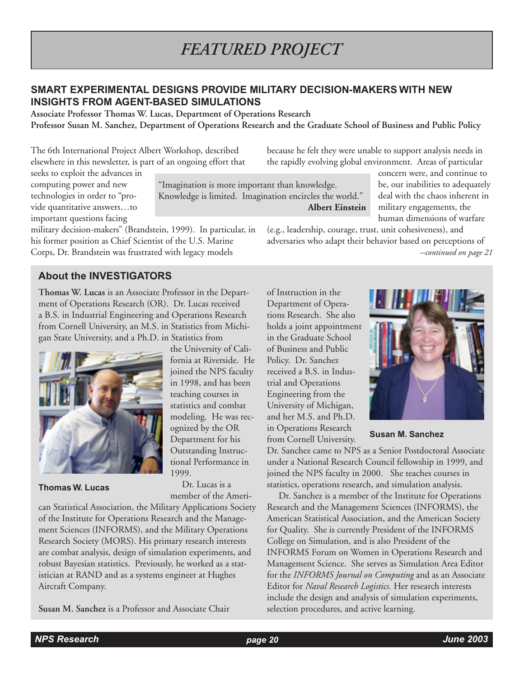# **SMART EXPERIMENTAL DESIGNS PROVIDE MILITARY DECISION-MAKERS WITH NEW INSIGHTS FROM AGENT-BASED SIMULATIONS**

**Associate Professor Thomas W. Lucas, Department of Operations Research Professor Susan M. Sanchez, Department of Operations Research and the Graduate School of Business and Public Policy**

The 6th International Project Albert Workshop, described elsewhere in this newsletter, is part of an ongoing effort that

"Imagination is more important than knowledge. Knowledge is limited. Imagination encircles the world." **Albert Einstein**

the rapidly evolving global environment. Areas of particular concern were, and continue to be, our inabilities to adequately deal with the chaos inherent in military engagements, the human dimensions of warfare

*--continued on page 21* (e.g., leadership, courage, trust, unit cohesiveness), and adversaries who adapt their behavior based on perceptions of

because he felt they were unable to support analysis needs in

### seeks to exploit the advances in computing power and new technologies in order to "provide quantitative answers…to important questions facing

military decision-makers" (Brandstein, 1999). In particular, in his former position as Chief Scientist of the U.S. Marine Corps, Dr. Brandstein was frustrated with legacy models

# **About the INVESTIGATORS**

**Thomas W. Lucas** is an Associate Professor in the Department of Operations Research (OR). Dr. Lucas received a B.S. in Industrial Engineering and Operations Research from Cornell University, an M.S. in Statistics from Michigan State University, and a Ph.D. in Statistics from



**Thomas W. Lucas** 

the University of California at Riverside. He joined the NPS faculty in 1998, and has been teaching courses in statistics and combat modeling. He was recognized by the OR Department for his Outstanding Instructional Performance in 1999.

 Dr. Lucas is a member of the Ameri-

can Statistical Association, the Military Applications Society of the Institute for Operations Research and the Management Sciences (INFORMS), and the Military Operations Research Society (MORS). His primary research interests are combat analysis, design of simulation experiments, and robust Bayesian statistics. Previously, he worked as a statistician at RAND and as a systems engineer at Hughes Aircraft Company.

**Susan M. Sanchez** is a Professor and Associate Chair

of Instruction in the Department of Operations Research. She also holds a joint appointment in the Graduate School of Business and Public Policy. Dr. Sanchez received a B.S. in Industrial and Operations Engineering from the University of Michigan, and her M.S. and Ph.D. in Operations Research from Cornell University.



**Susan M. Sanchez**

Dr. Sanchez came to NPS as a Senior Postdoctoral Associate under a National Research Council fellowship in 1999, and joined the NPS faculty in 2000. She teaches courses in statistics, operations research, and simulation analysis.

 Dr. Sanchez is a member of the Institute for Operations Research and the Management Sciences (INFORMS), the American Statistical Association, and the American Society for Quality. She is currently President of the INFORMS College on Simulation, and is also President of the INFORMS Forum on Women in Operations Research and Management Science. She serves as Simulation Area Editor for the *INFORMS Journal on Computing* and as an Associate Editor for *Naval Research Logistics.* Her research interests include the design and analysis of simulation experiments, selection procedures, and active learning.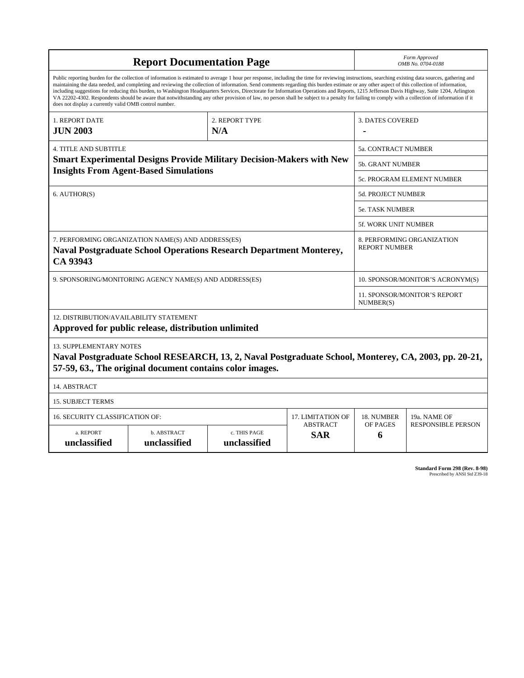| <b>Report Documentation Page</b>                                                                                                                                                                                                                                                                                                                                                                                                                                                                                                                                                                                                                                                                                                                                                                                                                                   |                             |                              |                               | Form Approved<br>OMB No. 0704-0188                 |                           |  |
|--------------------------------------------------------------------------------------------------------------------------------------------------------------------------------------------------------------------------------------------------------------------------------------------------------------------------------------------------------------------------------------------------------------------------------------------------------------------------------------------------------------------------------------------------------------------------------------------------------------------------------------------------------------------------------------------------------------------------------------------------------------------------------------------------------------------------------------------------------------------|-----------------------------|------------------------------|-------------------------------|----------------------------------------------------|---------------------------|--|
| Public reporting burden for the collection of information is estimated to average 1 hour per response, including the time for reviewing instructions, searching existing data sources, gathering and<br>maintaining the data needed, and completing and reviewing the collection of information. Send comments regarding this burden estimate or any other aspect of this collection of information,<br>including suggestions for reducing this burden, to Washington Headquarters Services, Directorate for Information Operations and Reports, 1215 Jefferson Davis Highway, Suite 1204, Arlington<br>VA 22202-4302. Respondents should be aware that notwithstanding any other provision of law, no person shall be subject to a penalty for failing to comply with a collection of information if it<br>does not display a currently valid OMB control number. |                             |                              |                               |                                                    |                           |  |
| 1. REPORT DATE<br>2. REPORT TYPE<br>N/A<br><b>JUN 2003</b>                                                                                                                                                                                                                                                                                                                                                                                                                                                                                                                                                                                                                                                                                                                                                                                                         |                             |                              |                               | <b>3. DATES COVERED</b>                            |                           |  |
| <b>4. TITLE AND SUBTITLE</b>                                                                                                                                                                                                                                                                                                                                                                                                                                                                                                                                                                                                                                                                                                                                                                                                                                       |                             |                              |                               | 5a. CONTRACT NUMBER                                |                           |  |
| <b>Smart Experimental Designs Provide Military Decision-Makers with New</b><br><b>Insights From Agent-Based Simulations</b>                                                                                                                                                                                                                                                                                                                                                                                                                                                                                                                                                                                                                                                                                                                                        |                             |                              |                               | <b>5b. GRANT NUMBER</b>                            |                           |  |
|                                                                                                                                                                                                                                                                                                                                                                                                                                                                                                                                                                                                                                                                                                                                                                                                                                                                    |                             |                              |                               | 5c. PROGRAM ELEMENT NUMBER                         |                           |  |
| 6. AUTHOR(S)                                                                                                                                                                                                                                                                                                                                                                                                                                                                                                                                                                                                                                                                                                                                                                                                                                                       |                             |                              |                               | <b>5d. PROJECT NUMBER</b>                          |                           |  |
|                                                                                                                                                                                                                                                                                                                                                                                                                                                                                                                                                                                                                                                                                                                                                                                                                                                                    |                             |                              |                               | 5e. TASK NUMBER                                    |                           |  |
|                                                                                                                                                                                                                                                                                                                                                                                                                                                                                                                                                                                                                                                                                                                                                                                                                                                                    |                             |                              |                               | <b>5f. WORK UNIT NUMBER</b>                        |                           |  |
| 7. PERFORMING ORGANIZATION NAME(S) AND ADDRESS(ES)<br>Naval Postgraduate School Operations Research Department Monterey,<br>CA 93943                                                                                                                                                                                                                                                                                                                                                                                                                                                                                                                                                                                                                                                                                                                               |                             |                              |                               | 8. PERFORMING ORGANIZATION<br><b>REPORT NUMBER</b> |                           |  |
| 9. SPONSORING/MONITORING AGENCY NAME(S) AND ADDRESS(ES)                                                                                                                                                                                                                                                                                                                                                                                                                                                                                                                                                                                                                                                                                                                                                                                                            |                             |                              |                               | 10. SPONSOR/MONITOR'S ACRONYM(S)                   |                           |  |
|                                                                                                                                                                                                                                                                                                                                                                                                                                                                                                                                                                                                                                                                                                                                                                                                                                                                    |                             |                              |                               | 11. SPONSOR/MONITOR'S REPORT<br>NUMBER(S)          |                           |  |
| 12. DISTRIBUTION/AVAILABILITY STATEMENT<br>Approved for public release, distribution unlimited                                                                                                                                                                                                                                                                                                                                                                                                                                                                                                                                                                                                                                                                                                                                                                     |                             |                              |                               |                                                    |                           |  |
| <b>13. SUPPLEMENTARY NOTES</b><br>Naval Postgraduate School RESEARCH, 13, 2, Naval Postgraduate School, Monterey, CA, 2003, pp. 20-21,<br>57-59, 63., The original document contains color images.                                                                                                                                                                                                                                                                                                                                                                                                                                                                                                                                                                                                                                                                 |                             |                              |                               |                                                    |                           |  |
| 14. ABSTRACT                                                                                                                                                                                                                                                                                                                                                                                                                                                                                                                                                                                                                                                                                                                                                                                                                                                       |                             |                              |                               |                                                    |                           |  |
| <b>15. SUBJECT TERMS</b>                                                                                                                                                                                                                                                                                                                                                                                                                                                                                                                                                                                                                                                                                                                                                                                                                                           |                             |                              |                               |                                                    |                           |  |
| 16. SECURITY CLASSIFICATION OF:                                                                                                                                                                                                                                                                                                                                                                                                                                                                                                                                                                                                                                                                                                                                                                                                                                    | 17. LIMITATION OF           | 18. NUMBER                   | 19a. NAME OF                  |                                                    |                           |  |
| a. REPORT<br>unclassified                                                                                                                                                                                                                                                                                                                                                                                                                                                                                                                                                                                                                                                                                                                                                                                                                                          | b. ABSTRACT<br>unclassified | c. THIS PAGE<br>unclassified | <b>ABSTRACT</b><br><b>SAR</b> | OF PAGES<br>6                                      | <b>RESPONSIBLE PERSON</b> |  |

**Standard Form 298 (Rev. 8-98)**<br>Prescribed by ANSI Std Z39-18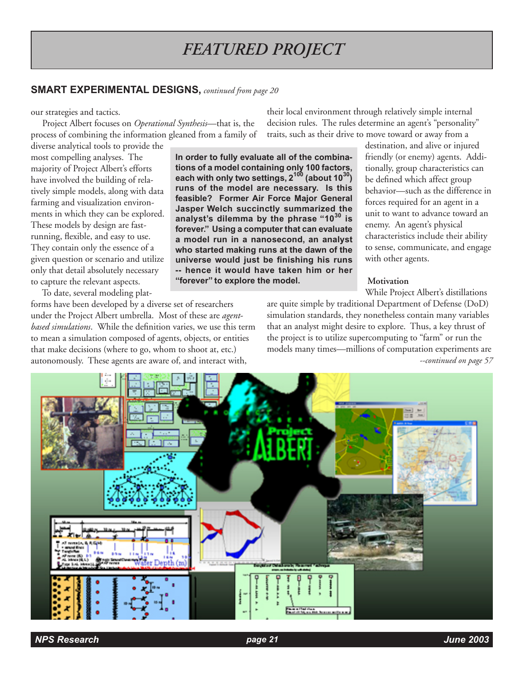### **SMART EXPERIMENTAL DESIGNS,** *continued from page 20*

#### our strategies and tactics.

 Project Albert focuses on *Operational Synthesis*—that is, the process of combining the information gleaned from a family of

diverse analytical tools to provide the most compelling analyses. The majority of Project Albert's efforts have involved the building of relatively simple models, along with data farming and visualization environments in which they can be explored. These models by design are fastrunning, flexible, and easy to use. They contain only the essence of a given question or scenario and utilize only that detail absolutely necessary to capture the relevant aspects.

To date, several modeling plat-

forms have been developed by a diverse set of researchers under the Project Albert umbrella. Most of these are *agentbased simulations*. While the definition varies, we use this term to mean a simulation composed of agents, objects, or entities that make decisions (where to go, whom to shoot at, etc.) autonomously. These agents are aware of, and interact with,

their local environment through relatively simple internal decision rules. The rules determine an agent's "personality" traits, such as their drive to move toward or away from a

**In order to fully evaluate all of the combinations of a model containing only 100 factors, each with only two settings, 2100 (about 1030) runs of the model are necessary. Is this feasible? Former Air Force Major General Jasper Welch succinctly summarized the analyst's dilemma by the phrase "1030 is forever." Using a computer that can evaluate a model run in a nanosecond, an analyst who started making runs at the dawn of the universe would just be finishing his runs -- hence it would have taken him or her "forever" to explore the model.**

destination, and alive or injured friendly (or enemy) agents. Additionally, group characteristics can be defined which affect group behavior—such as the difference in forces required for an agent in a unit to want to advance toward an enemy. An agent's physical characteristics include their ability to sense, communicate, and engage with other agents.

#### **Motivation**

While Project Albert's distillations

*--continued on page 57* are quite simple by traditional Department of Defense (DoD) simulation standards, they nonetheless contain many variables that an analyst might desire to explore. Thus, a key thrust of the project is to utilize supercomputing to "farm" or run the models many times—millions of computation experiments are

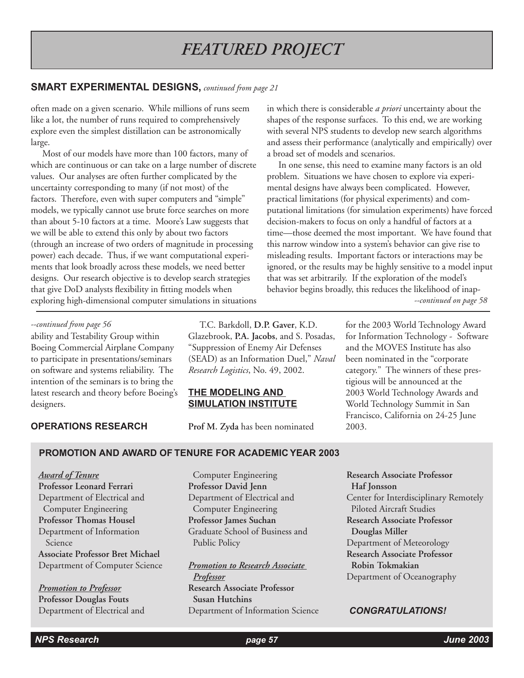### **SMART EXPERIMENTAL DESIGNS,** *continued from page 21*

often made on a given scenario. While millions of runs seem like a lot, the number of runs required to comprehensively explore even the simplest distillation can be astronomically large.

 Most of our models have more than 100 factors, many of which are continuous or can take on a large number of discrete values. Our analyses are often further complicated by the uncertainty corresponding to many (if not most) of the factors. Therefore, even with super computers and "simple" models, we typically cannot use brute force searches on more than about 5-10 factors at a time. Moore's Law suggests that we will be able to extend this only by about two factors (through an increase of two orders of magnitude in processing power) each decade. Thus, if we want computational experiments that look broadly across these models, we need better designs. Our research objective is to develop search strategies that give DoD analysts flexibility in fitting models when exploring high-dimensional computer simulations in situations in which there is considerable *a priori* uncertainty about the shapes of the response surfaces. To this end, we are working with several NPS students to develop new search algorithms and assess their performance (analytically and empirically) over a broad set of models and scenarios.

 In one sense, this need to examine many factors is an old problem. Situations we have chosen to explore via experimental designs have always been complicated. However, practical limitations (for physical experiments) and computational limitations (for simulation experiments) have forced decision-makers to focus on only a handful of factors at a time—those deemed the most important. We have found that this narrow window into a system's behavior can give rise to misleading results. Important factors or interactions may be ignored, or the results may be highly sensitive to a model input that was set arbitrarily. If the exploration of the model's behavior begins broadly, this reduces the likelihood of inap- *--continued on page 58*

#### *--continued from page 56*

ability and Testability Group within Boeing Commercial Airplane Company to participate in presentations/seminars on software and systems reliability. The intention of the seminars is to bring the latest research and theory before Boeing's designers.

#### **OPERATIONS RESEARCH**

 T.C. Barkdoll, **D.P. Gaver**, K.D. Glazebrook, **P.A. Jacobs**, and S. Posadas, "Suppression of Enemy Air Defenses (SEAD) as an Information Duel," *Naval Research Logistics*, No. 49, 2002.

#### **THE MODELING AND SIMULATION INSTITUTE**

**Prof M. Zyda** has been nominated

for the 2003 World Technology Award for Information Technology - Software and the MOVES Institute has also been nominated in the "corporate category." The winners of these prestigious will be announced at the 2003 World Technology Awards and World Technology Summit in San Francisco, California on 24-25 June 2003.

#### **PROMOTION AND AWARD OF TENURE FOR ACADEMIC YEAR 2003**

*Award of Tenure* **Professor Leonard Ferrari** Department of Electrical and Computer Engineering **Professor Thomas Housel** Department of Information Science **Associate Professor Bret Michael** Department of Computer Science

*Promotion to Professor* **Professor Douglas Fouts**

 Computer Engineering **Professor David Jenn** Department of Electrical and Computer Engineering **Professor James Suchan** Graduate School of Business and Public Policy

*Promotion to Research Associate* 

Department of Electrical and *Department of Information Science* **CONGRATULATIONS!**  *Professor* **Research Associate Professor Susan Hutchins**

**Research Associate Professor Haf Jonsson** Center for Interdisciplinary Remotely Piloted Aircraft Studies **Research Associate Professor Douglas Miller** Department of Meteorology **Research Associate Professor Robin Tokmakian** Department of Oceanography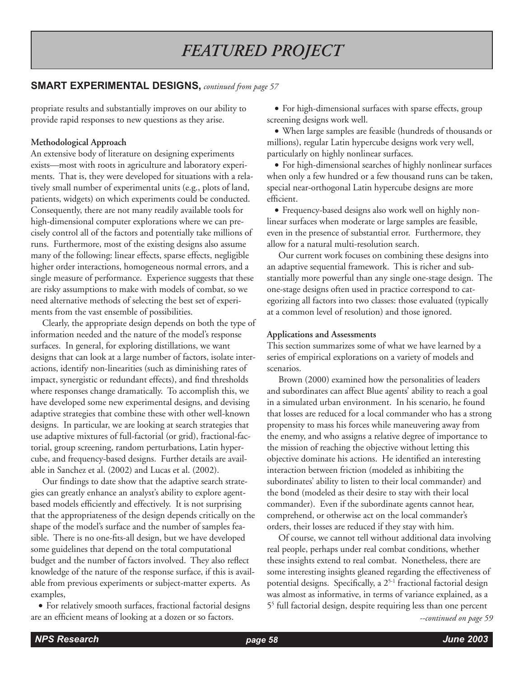### **SMART EXPERIMENTAL DESIGNS,** *continued from page 57*

propriate results and substantially improves on our ability to provide rapid responses to new questions as they arise.

### **Methodological Approach**

An extensive body of literature on designing experiments exists—most with roots in agriculture and laboratory experiments. That is, they were developed for situations with a relatively small number of experimental units (e.g., plots of land, patients, widgets) on which experiments could be conducted. Consequently, there are not many readily available tools for high-dimensional computer explorations where we can precisely control all of the factors and potentially take millions of runs. Furthermore, most of the existing designs also assume many of the following: linear effects, sparse effects, negligible higher order interactions, homogeneous normal errors, and a single measure of performance. Experience suggests that these are risky assumptions to make with models of combat, so we need alternative methods of selecting the best set of experiments from the vast ensemble of possibilities.

 Clearly, the appropriate design depends on both the type of information needed and the nature of the model's response surfaces. In general, for exploring distillations, we want designs that can look at a large number of factors, isolate interactions, identify non-linearities (such as diminishing rates of impact, synergistic or redundant effects), and find thresholds where responses change dramatically. To accomplish this, we have developed some new experimental designs, and devising adaptive strategies that combine these with other well-known designs. In particular, we are looking at search strategies that use adaptive mixtures of full-factorial (or grid), fractional-factorial, group screening, random perturbations, Latin hypercube, and frequency-based designs. Further details are available in Sanchez et al. (2002) and Lucas et al. (2002).

 Our findings to date show that the adaptive search strategies can greatly enhance an analyst's ability to explore agentbased models efficiently and effectively. It is not surprising that the appropriateness of the design depends critically on the shape of the model's surface and the number of samples feasible. There is no one-fits-all design, but we have developed some guidelines that depend on the total computational budget and the number of factors involved. They also reflect knowledge of the nature of the response surface, if this is available from previous experiments or subject-matter experts. As examples,

• For relatively smooth surfaces, fractional factorial designs are an efficient means of looking at a dozen or so factors.

• For high-dimensional surfaces with sparse effects, group screening designs work well.

• When large samples are feasible (hundreds of thousands or millions), regular Latin hypercube designs work very well, particularly on highly nonlinear surfaces.

• For high-dimensional searches of highly nonlinear surfaces when only a few hundred or a few thousand runs can be taken, special near-orthogonal Latin hypercube designs are more efficient.

• Frequency-based designs also work well on highly nonlinear surfaces when moderate or large samples are feasible, even in the presence of substantial error. Furthermore, they allow for a natural multi-resolution search.

 Our current work focuses on combining these designs into an adaptive sequential framework. This is richer and substantially more powerful than any single one-stage design. The one-stage designs often used in practice correspond to categorizing all factors into two classes: those evaluated (typically at a common level of resolution) and those ignored.

#### **Applications and Assessments**

This section summarizes some of what we have learned by a series of empirical explorations on a variety of models and scenarios.

 Brown (2000) examined how the personalities of leaders and subordinates can affect Blue agents' ability to reach a goal in a simulated urban environment. In his scenario, he found that losses are reduced for a local commander who has a strong propensity to mass his forces while maneuvering away from the enemy, and who assigns a relative degree of importance to the mission of reaching the objective without letting this objective dominate his actions. He identified an interesting interaction between friction (modeled as inhibiting the subordinates' ability to listen to their local commander) and the bond (modeled as their desire to stay with their local commander). Even if the subordinate agents cannot hear, comprehend, or otherwise act on the local commander's orders, their losses are reduced if they stay with him.

 Of course, we cannot tell without additional data involving real people, perhaps under real combat conditions, whether these insights extend to real combat. Nonetheless, there are some interesting insights gleaned regarding the effectiveness of potential designs. Specifically, a 2<sup>5-1</sup> fractional factorial design was almost as informative, in terms of variance explained, as a 55 full factorial design, despite requiring less than one percent

*--continued on page 59*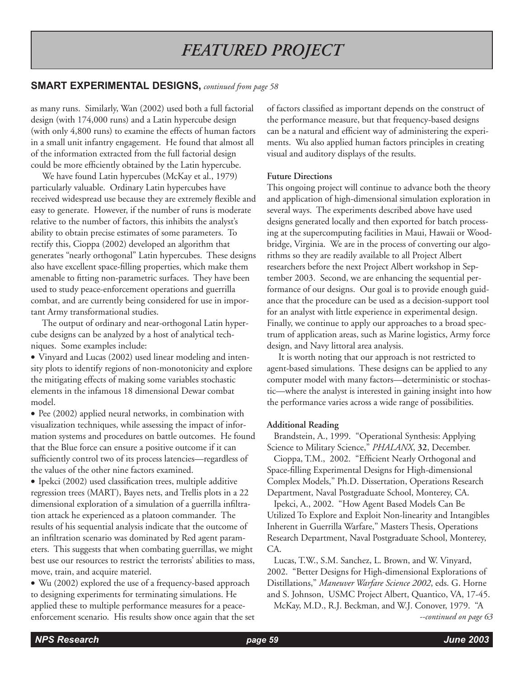## **SMART EXPERIMENTAL DESIGNS,** *continued from page 58*

as many runs. Similarly, Wan (2002) used both a full factorial design (with 174,000 runs) and a Latin hypercube design (with only 4,800 runs) to examine the effects of human factors in a small unit infantry engagement. He found that almost all of the information extracted from the full factorial design could be more efficiently obtained by the Latin hypercube.

 We have found Latin hypercubes (McKay et al., 1979) particularly valuable. Ordinary Latin hypercubes have received widespread use because they are extremely flexible and easy to generate. However, if the number of runs is moderate relative to the number of factors, this inhibits the analyst's ability to obtain precise estimates of some parameters. To rectify this, Cioppa (2002) developed an algorithm that generates "nearly orthogonal" Latin hypercubes. These designs also have excellent space-filling properties, which make them amenable to fitting non-parametric surfaces. They have been used to study peace-enforcement operations and guerrilla combat, and are currently being considered for use in important Army transformational studies.

 The output of ordinary and near-orthogonal Latin hypercube designs can be analyzed by a host of analytical techniques. Some examples include:

• Vinyard and Lucas (2002) used linear modeling and intensity plots to identify regions of non-monotonicity and explore the mitigating effects of making some variables stochastic elements in the infamous 18 dimensional Dewar combat model.

• Pee (2002) applied neural networks, in combination with visualization techniques, while assessing the impact of information systems and procedures on battle outcomes. He found that the Blue force can ensure a positive outcome if it can sufficiently control two of its process latencies—regardless of the values of the other nine factors examined.

• Ipekci (2002) used classification trees, multiple additive regression trees (MART), Bayes nets, and Trellis plots in a 22 dimensional exploration of a simulation of a guerrilla infiltration attack he experienced as a platoon commander. The results of his sequential analysis indicate that the outcome of an infiltration scenario was dominated by Red agent parameters. This suggests that when combating guerrillas, we might best use our resources to restrict the terrorists' abilities to mass, move, train, and acquire materiel.

• Wu (2002) explored the use of a frequency-based approach to designing experiments for terminating simulations. He applied these to multiple performance measures for a peaceenforcement scenario. His results show once again that the set of factors classified as important depends on the construct of the performance measure, but that frequency-based designs can be a natural and efficient way of administering the experiments. Wu also applied human factors principles in creating visual and auditory displays of the results.

#### **Future Directions**

This ongoing project will continue to advance both the theory and application of high-dimensional simulation exploration in several ways. The experiments described above have used designs generated locally and then exported for batch processing at the supercomputing facilities in Maui, Hawaii or Woodbridge, Virginia. We are in the process of converting our algorithms so they are readily available to all Project Albert researchers before the next Project Albert workshop in September 2003. Second, we are enhancing the sequential performance of our designs. Our goal is to provide enough guidance that the procedure can be used as a decision-support tool for an analyst with little experience in experimental design. Finally, we continue to apply our approaches to a broad spectrum of application areas, such as Marine logistics, Army force design, and Navy littoral area analysis.

 It is worth noting that our approach is not restricted to agent-based simulations. These designs can be applied to any computer model with many factors—deterministic or stochastic—where the analyst is interested in gaining insight into how the performance varies across a wide range of possibilities.

#### **Additional Reading**

 Brandstein, A., 1999. "Operational Synthesis: Applying Science to Military Science," *PHALANX*, **32**, December.

 Cioppa, T.M., 2002. "Efficient Nearly Orthogonal and Space-filling Experimental Designs for High-dimensional Complex Models," Ph.D. Dissertation, Operations Research Department, Naval Postgraduate School, Monterey, CA.

 Ipekci, A., 2002. "How Agent Based Models Can Be Utilized To Explore and Exploit Non-linearity and Intangibles Inherent in Guerrilla Warfare," Masters Thesis, Operations Research Department, Naval Postgraduate School, Monterey, CA.

 Lucas, T.W., S.M. Sanchez, L. Brown, and W. Vinyard, 2002. "Better Designs for High-dimensional Explorations of Distillations," *Maneuver Warfare Science 2002*, eds. G. Horne and S. Johnson, USMC Project Albert, Quantico, VA, 17-45.

McKay, M.D., R.J. Beckman, and W.J. Conover, 1979. "A